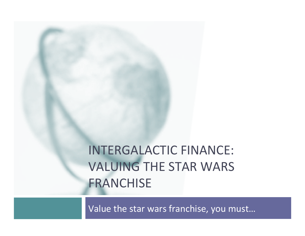# INTERGALACTIC FINANCE: VALUING THE STAR WARS FRANCHISE

Value the star wars franchise, you must...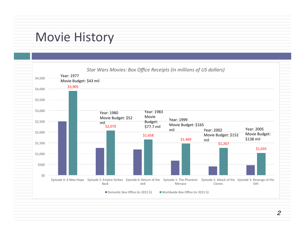#### **Movie History**

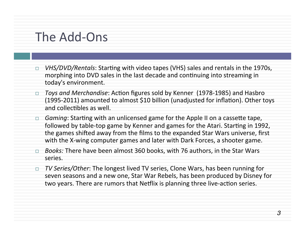#### The Add-Ons

- $\Box$  *VHS/DVD/Rentals*: Starting with video tapes (VHS) sales and rentals in the 1970s, morphing into DVD sales in the last decade and continuing into streaming in today's environment.
- □ *Toys and Merchandise*: Action figures sold by Kenner (1978-1985) and Hasbro (1995-2011) amounted to almost \$10 billion (unadjusted for inflation). Other toys and collectibles as well.
- *I Gaming*: Starting with an unlicensed game for the Apple II on a cassette tape, followed by table-top game by Kenner and games for the Atari. Starting in 1992, the games shifted away from the films to the expanded Star Wars universe, first with the X-wing computer games and later with Dark Forces, a shooter game.
- Books: There have been almost 360 books, with 76 authors, in the Star Wars series.
- □ *TV Series/Other*: The longest lived TV series, Clone Wars, has been running for seven seasons and a new one, Star War Rebels, has been produced by Disney for two vears. There are rumors that Netflix is planning three live-action series.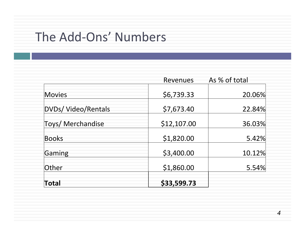### The Add-Ons' Numbers

|                            | <b>Revenues</b> | As % of total |
|----------------------------|-----------------|---------------|
| Movies                     | \$6,739.33      | 20.06%        |
| <b>DVDs/ Video/Rentals</b> | \$7,673.40      | 22.84%        |
| Toys/ Merchandise          | \$12,107.00     | 36.03%        |
| <b>Books</b>               | \$1,820.00      | 5.42%         |
| Gaming                     | \$3,400.00      | 10.12%        |
| <b>Other</b>               | \$1,860.00      | 5.54%         |
| Total                      | \$33,599.73     |               |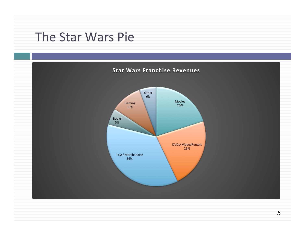### The Star Wars Pie

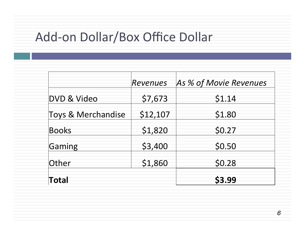## Add-on Dollar/Box Office Dollar

|                               | Revenues | As % of Movie Revenues |
|-------------------------------|----------|------------------------|
| <b>DVD &amp; Video</b>        | \$7,673  | \$1.14                 |
| <b>Toys &amp; Merchandise</b> | \$12,107 | \$1.80                 |
| <b>Books</b>                  | \$1,820  | \$0.27                 |
| Gaming                        | \$3,400  | \$0.50                 |
| Other                         | \$1,860  | \$0.28                 |
| Total                         |          | \$3.99                 |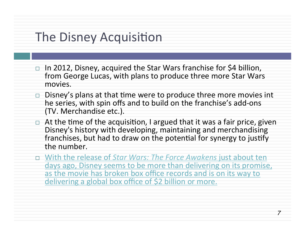### The Disney Acquisition

- $\Box$  In 2012, Disney, acquired the Star Wars franchise for \$4 billion, from George Lucas, with plans to produce three more Star Wars movies.
- $\Box$  Disney's plans at that time were to produce three more movies int he series, with spin offs and to build on the franchise's add-ons (TV. Merchandise etc.).
- $\Box$  At the time of the acquisition, I argued that it was a fair price, given Disney's history with developing, maintaining and merchandising franchises, but had to draw on the potential for synergy to justify the number.
- □ With the release of *Star Wars: The Force Awakens* just about ten days ago, Disney seems to be more than delivering on its promise, as the movie has broken box office records and is on its way to delivering a global box office of \$2 billion or more.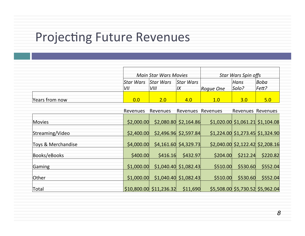## Projecting Future Revenues

|                    |                 | <b>Main Star Wars Movies</b> |                         | Star Wars Spin offs |                                     |          |  |  |  |
|--------------------|-----------------|------------------------------|-------------------------|---------------------|-------------------------------------|----------|--|--|--|
|                    | Star Wars       | <b>Star Wars</b>             | <b>Star Wars</b>        |                     | Hans                                | Boba     |  |  |  |
|                    | VII             | VIII                         | 1X                      | Rogue One           | Solo?                               | Fett?    |  |  |  |
| Years from now     | 0.0             | 2.0                          | 4.0                     | 1.0                 | 3.0                                 | 5.0      |  |  |  |
|                    | <b>Revenues</b> | Revenues                     | Revenues Revenues       |                     | <b>Revenues Revenues</b>            |          |  |  |  |
| Movies             | \$2,000.00      |                              | $$2,080.80$ $$2,164.86$ |                     | $$1,020.00$ $$1,061.21$ $$1,104.08$ |          |  |  |  |
| Streaming/Video    | \$2,400.00      |                              | $$2,496.96$ $$2,597.84$ |                     | $$1,224.00$ $$1,273.45$ $$1,324.90$ |          |  |  |  |
| Toys & Merchandise | \$4,000.00      |                              | $$4,161.60$ $$4,329.73$ |                     | $$2,040.00 \ $2,122.42 \ $2,208.16$ |          |  |  |  |
| Books/eBooks       | \$400.00        | \$416.16                     | \$432.97                | \$204.00            | \$212.24                            | \$220.82 |  |  |  |
| Gaming             | \$1,000.00      |                              | $$1,040.40$ $$1,082.43$ | \$510.00            | \$530.60                            | \$552.04 |  |  |  |
| <b>Other</b>       | \$1,000.00      |                              | $$1,040.40$ $$1,082.43$ | \$510.00            | \$530.60                            | \$552.04 |  |  |  |
| Total              |                 | \$10,800.00 \$11,236.32      | \$11,690                |                     | \$5,508.00 \$5,730.52 \$5,962.04    |          |  |  |  |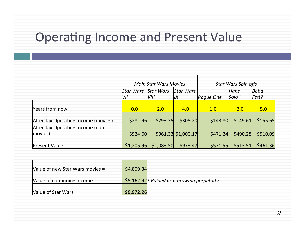### Operating Income and Present Value

|                                             |                  | <b>Main Star Wars Movies</b> |                        | <b>Star Wars Spin offs</b> |               |               |  |  |  |
|---------------------------------------------|------------------|------------------------------|------------------------|----------------------------|---------------|---------------|--|--|--|
|                                             | Star Wars<br>VII | <b>Star Wars</b><br>VIII     | <b>Star Wars</b><br> I | Roque One                  | Hans<br>Solo? | Boba<br>Fett? |  |  |  |
| Years from now                              | 0.0              | 2.0                          | 4.0                    | 1.0                        | 3.0           | 5.0           |  |  |  |
| After-tax Operating Income (movies)         | \$281.96         | \$293.35                     | \$305.20               | \$143.80                   | \$149.61      | \$155.65      |  |  |  |
| After-tax Operating Income (non-<br>movies) | \$924.00         |                              | $$961.33$ $$1,000.17$  | \$471.24                   | \$490.28      | \$510.09      |  |  |  |
| <b>Present Value</b>                        | \$1,205.96       | \$1,083.50                   | \$973.47               | \$571.55                   | \$513.51      | \$461.36      |  |  |  |

| Value of new Star Wars movies $=$ | \$4,809.34                                 |
|-----------------------------------|--------------------------------------------|
| Value of continuing income $=$    | \$5,162.92! Valued as a growing perpetuity |
| Value of Star Wars =              | \$9,972.26                                 |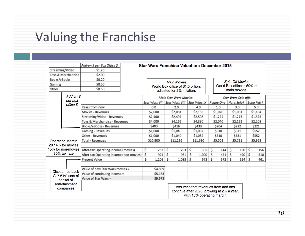## Valuing the Franchise

|                                                                                       |                    | Add-on \$ per Box Office \$                              |                    |                              |                                    | <b>Star Wars Franchise Valuation: December 2015</b>                                                           |       |         |                                            |           |         |                        |                   |         |
|---------------------------------------------------------------------------------------|--------------------|----------------------------------------------------------|--------------------|------------------------------|------------------------------------|---------------------------------------------------------------------------------------------------------------|-------|---------|--------------------------------------------|-----------|---------|------------------------|-------------------|---------|
| \$1.20<br>Streaming/Video                                                             |                    |                                                          |                    |                              |                                    |                                                                                                               |       |         |                                            |           |         |                        |                   |         |
|                                                                                       | Toys & Merchandise | \$2.00                                                   |                    |                              |                                    |                                                                                                               |       |         |                                            |           |         |                        |                   |         |
| Books/eBooks                                                                          |                    | \$0.20                                                   |                    |                              |                                    | <b>Main Movies</b>                                                                                            |       |         |                                            |           |         | <b>Spin Off Movies</b> |                   |         |
| Gaming                                                                                |                    | \$0.50                                                   |                    |                              | World Box office of \$1.5 billion, |                                                                                                               |       |         |                                            |           |         |                        |                   |         |
| Other                                                                                 |                    | \$0.50                                                   |                    |                              |                                    | adjusted for 2% inflation.                                                                                    |       |         | World Box office is 50% of<br>main movies. |           |         |                        |                   |         |
| Add on \$<br>per box                                                                  |                    |                                                          |                    | <b>Main Star Wars Movies</b> |                                    |                                                                                                               |       |         | Star Wars Spin offs                        |           |         |                        |                   |         |
|                                                                                       |                    |                                                          |                    | <b>Star Wars VII</b>         |                                    | Star Wars VIII Star Wars IX                                                                                   |       |         |                                            | Rogue One |         | Hans Solo?             | <b>Boba Fett?</b> |         |
|                                                                                       | office \$          | Years from now                                           |                    | 0.0                          |                                    | 2.0                                                                                                           |       | 4.0     | 1.0                                        |           | 3.0     |                        | 5.0               |         |
|                                                                                       |                    | Movies - Revenues                                        |                    | \$2,000                      |                                    | \$2,081                                                                                                       |       | \$2,165 |                                            | \$1,020   |         | \$1,061                |                   | \$1,104 |
|                                                                                       |                    | Streaming/Video - Revenues                               |                    | \$2,400                      |                                    | \$2,497                                                                                                       |       | \$2,598 |                                            | \$1,224   |         | \$1,273                |                   | \$1,325 |
|                                                                                       |                    | Toys & Merchandise - Revenues                            |                    | \$4,000                      |                                    | \$4,162                                                                                                       |       | \$4,330 | \$2,040                                    |           | \$2,122 |                        | \$2,208           |         |
|                                                                                       |                    | Books/eBooks - Revenues                                  |                    | \$400                        |                                    | \$416                                                                                                         | \$433 |         | \$204                                      |           | \$212   |                        | \$221             |         |
| Gaming - Revenues<br>Other - Revenues                                                 |                    |                                                          | \$1,000            |                              | \$1,040<br>\$1,082                 |                                                                                                               | \$510 |         | \$531                                      |           | \$552   |                        |                   |         |
|                                                                                       |                    |                                                          | \$1,000<br>\$1,040 |                              | \$1,082                            |                                                                                                               | \$510 |         | \$531                                      |           | \$552   |                        |                   |         |
| <b>Operating Margin</b>                                                               |                    | <b>Total - Revenues</b>                                  | \$10,800           |                              |                                    | \$11,236<br>\$11,690                                                                                          |       |         | \$5,508                                    |           | \$5,731 |                        | \$5,962           |         |
|                                                                                       | 20.14% for movies  |                                                          |                    |                              |                                    |                                                                                                               |       |         |                                            |           |         |                        |                   |         |
|                                                                                       |                    | 15% for non-movies   After-tax Operating Income (movies) | \$                 | 282                          | \$                                 | 293                                                                                                           | s     | 305     | s                                          | 144       | s       | 150                    | s                 | 156     |
|                                                                                       | 30% tax rate       | After-tax Operating Income (non-movies)   \$             |                    | 924                          | \$.                                | 961                                                                                                           | s     | 1,000   | s                                          | 471       | \$      | 490                    | s                 | 510     |
|                                                                                       |                    | Present Value                                            | Ś                  | 1,206                        | Ś                                  | 1,083                                                                                                         | s     | 973     | s                                          | 572       | \$.     | 514                    | s                 | 461     |
|                                                                                       |                    | Value of new Star Wars movies =                          |                    | \$4,809                      |                                    |                                                                                                               |       |         |                                            |           |         |                        |                   |         |
| <b>Discounted back</b><br>@ 7.61% cost of<br>capital of<br>entertainment<br>companies |                    | Value of continuing income =                             |                    | \$5,163                      |                                    |                                                                                                               |       |         |                                            |           |         |                        |                   |         |
|                                                                                       |                    | Value of Star Wars =                                     |                    | \$9,972                      |                                    |                                                                                                               |       |         |                                            |           |         |                        |                   |         |
|                                                                                       |                    |                                                          |                    |                              |                                    | Assumes that revenues from add ons<br>continue after 2020, growing at 2% a year,<br>with 15% operating margin |       |         |                                            |           |         |                        |                   |         |